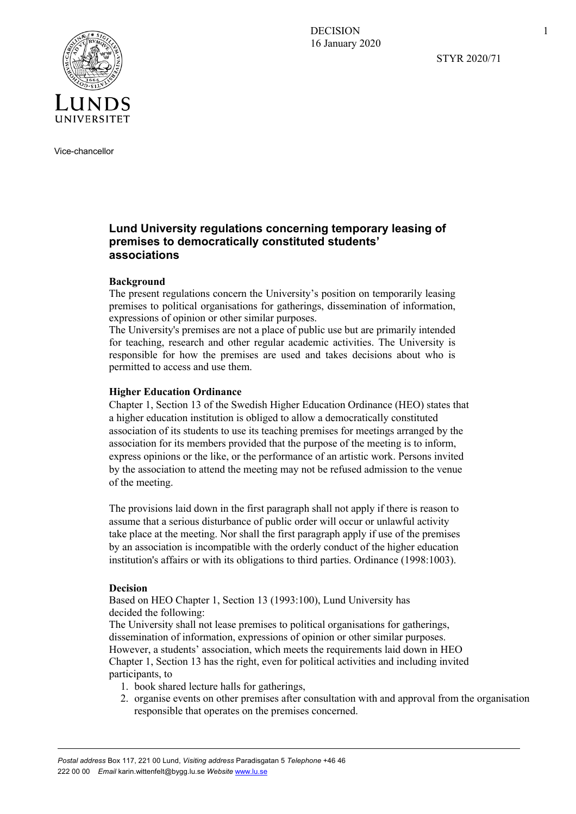**DECISION** 16 January 2020

STYR 2020/71



Vice-chancellor

# **Lund University regulations concerning temporary leasing of premises to democratically constituted students' associations**

## **Background**

The present regulations concern the University's position on temporarily leasing premises to political organisations for gatherings, dissemination of information, expressions of opinion or other similar purposes.

The University's premises are not a place of public use but are primarily intended for teaching, research and other regular academic activities. The University is responsible for how the premises are used and takes decisions about who is permitted to access and use them.

### **Higher Education Ordinance**

Chapter 1, Section 13 of the Swedish Higher Education Ordinance (HEO) states that a higher education institution is obliged to allow a democratically constituted association of its students to use its teaching premises for meetings arranged by the association for its members provided that the purpose of the meeting is to inform, express opinions or the like, or the performance of an artistic work. Persons invited by the association to attend the meeting may not be refused admission to the venue of the meeting.

The provisions laid down in the first paragraph shall not apply if there is reason to assume that a serious disturbance of public order will occur or unlawful activity take place at the meeting. Nor shall the first paragraph apply if use of the premises by an association is incompatible with the orderly conduct of the higher education institution's affairs or with its obligations to third parties. Ordinance (1998:1003).

### **Decision**

Based on HEO Chapter 1, Section 13 (1993:100), Lund University has decided the following:

The University shall not lease premises to political organisations for gatherings, dissemination of information, expressions of opinion or other similar purposes. However, a students' association, which meets the requirements laid down in HEO Chapter 1, Section 13 has the right, even for political activities and including invited participants, to

- 1. book shared lecture halls for gatherings,
- 2. organise events on other premises after consultation with and approval from the organisation responsible that operates on the premises concerned.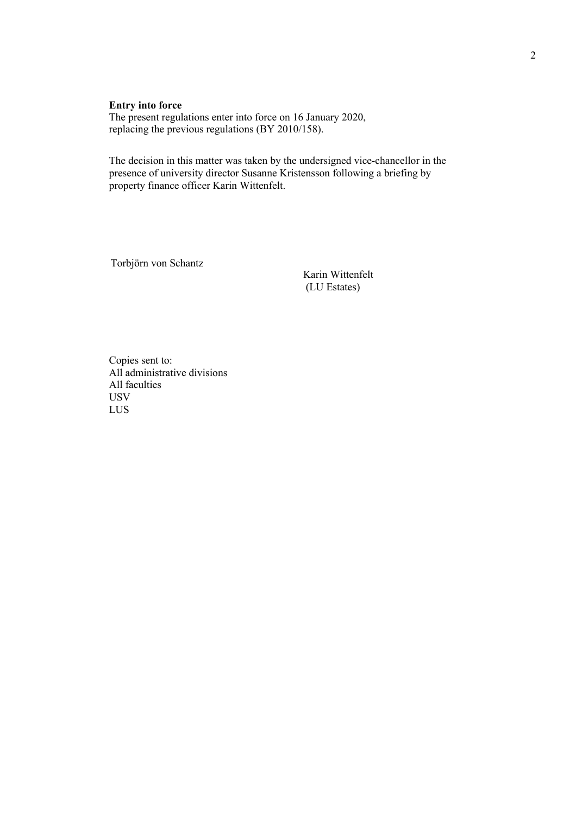## **Entry into force**

The present regulations enter into force on 16 January 2020, replacing the previous regulations (BY 2010/158).

The decision in this matter was taken by the undersigned vice-chancellor in the presence of university director Susanne Kristensson following a briefing by property finance officer Karin Wittenfelt.

Torbjörn von Schantz

Karin Wittenfelt (LU Estates)

Copies sent to: All administrative divisions All faculties USV LUS